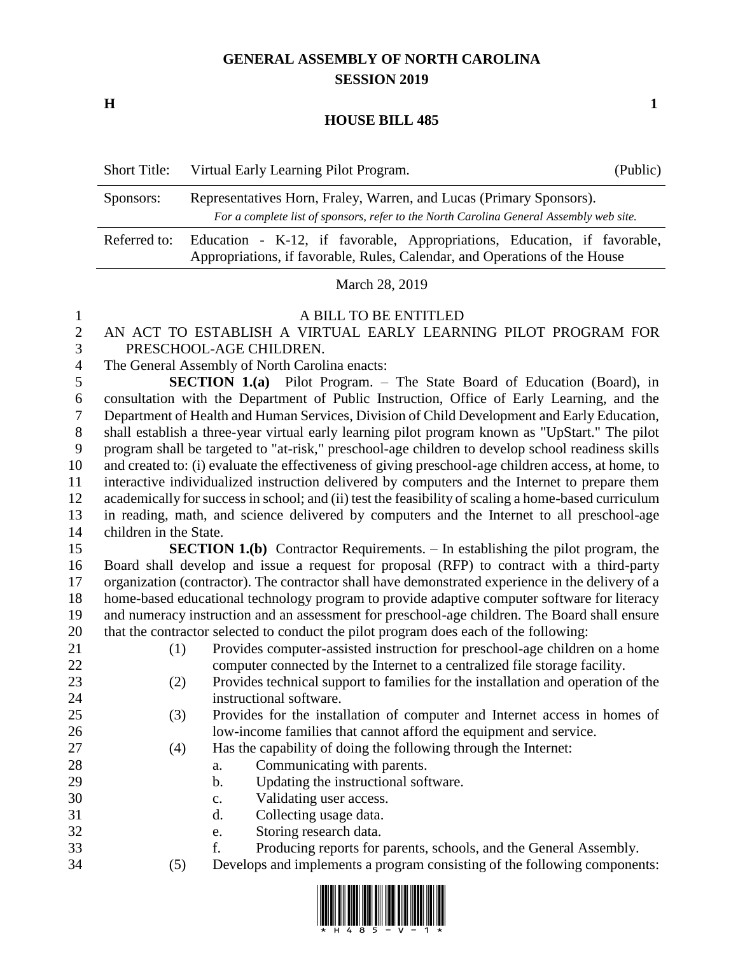## **GENERAL ASSEMBLY OF NORTH CAROLINA SESSION 2019**

**H 1**

## **HOUSE BILL 485**

| <b>Short Title:</b> | Virtual Early Learning Pilot Program.                                                                                                                          | (Public) |  |  |  |
|---------------------|----------------------------------------------------------------------------------------------------------------------------------------------------------------|----------|--|--|--|
| Sponsors:           | Representatives Horn, Fraley, Warren, and Lucas (Primary Sponsors).<br>For a complete list of sponsors, refer to the North Carolina General Assembly web site. |          |  |  |  |
| Referred to:        | Education - K-12, if favorable, Appropriations, Education, if favorable,<br>Appropriations, if favorable, Rules, Calendar, and Operations of the House         |          |  |  |  |
| March 28, 2019      |                                                                                                                                                                |          |  |  |  |

## A BILL TO BE ENTITLED

- AN ACT TO ESTABLISH A VIRTUAL EARLY LEARNING PILOT PROGRAM FOR PRESCHOOL-AGE CHILDREN.
- The General Assembly of North Carolina enacts:

 **SECTION 1.(a)** Pilot Program. – The State Board of Education (Board), in consultation with the Department of Public Instruction, Office of Early Learning, and the Department of Health and Human Services, Division of Child Development and Early Education, shall establish a three-year virtual early learning pilot program known as "UpStart." The pilot program shall be targeted to "at-risk," preschool-age children to develop school readiness skills and created to: (i) evaluate the effectiveness of giving preschool-age children access, at home, to interactive individualized instruction delivered by computers and the Internet to prepare them academically for success in school; and (ii) test the feasibility of scaling a home-based curriculum in reading, math, and science delivered by computers and the Internet to all preschool-age children in the State.

 **SECTION 1.(b)** Contractor Requirements. – In establishing the pilot program, the Board shall develop and issue a request for proposal (RFP) to contract with a third-party organization (contractor). The contractor shall have demonstrated experience in the delivery of a home-based educational technology program to provide adaptive computer software for literacy and numeracy instruction and an assessment for preschool-age children. The Board shall ensure that the contractor selected to conduct the pilot program does each of the following:

- 
- 

(1) Provides computer-assisted instruction for preschool-age children on a home

- computer connected by the Internet to a centralized file storage facility. (2) Provides technical support to families for the installation and operation of the instructional software.
- (3) Provides for the installation of computer and Internet access in homes of low-income families that cannot afford the equipment and service.
- (4) Has the capability of doing the following through the Internet:
- 28 a. Communicating with parents.
- 29 b. Updating the instructional software.
- c. Validating user access.
- d. Collecting usage data.
- e. Storing research data.
- f. Producing reports for parents, schools, and the General Assembly.
- (5) Develops and implements a program consisting of the following components:

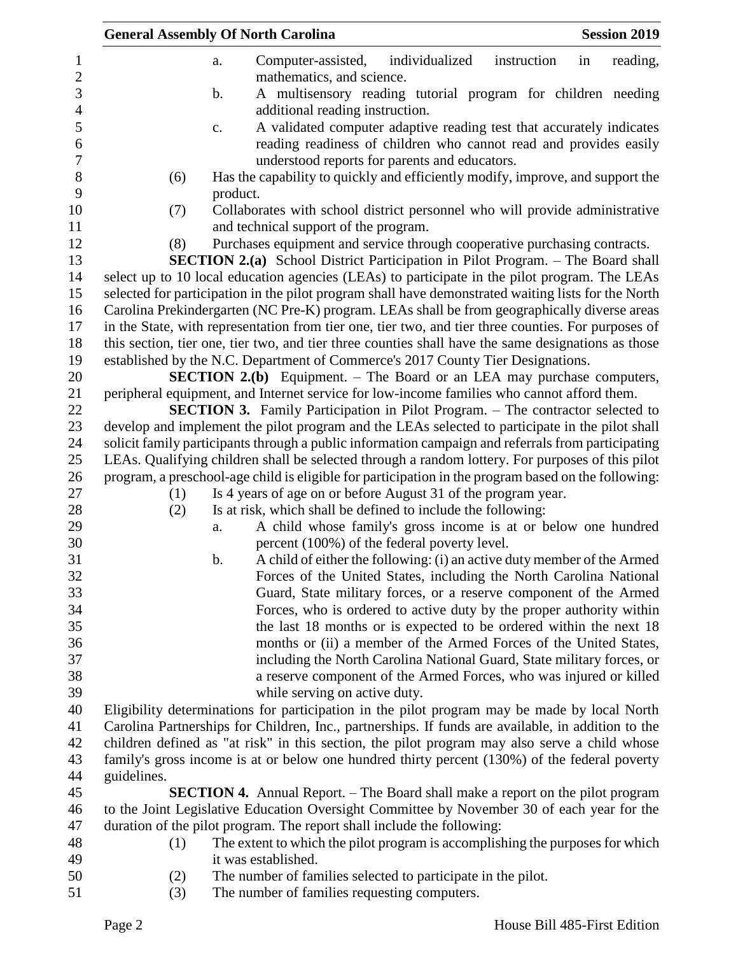|             | <b>General Assembly Of North Carolina</b><br><b>Session 2019</b>                                    |
|-------------|-----------------------------------------------------------------------------------------------------|
|             | individualized<br>reading,<br>Computer-assisted,<br>instruction<br>in<br>a.                         |
|             | mathematics, and science.                                                                           |
|             | A multisensory reading tutorial program for children needing<br>b.                                  |
|             | additional reading instruction.                                                                     |
|             | A validated computer adaptive reading test that accurately indicates<br>c.                          |
|             | reading readiness of children who cannot read and provides easily                                   |
|             | understood reports for parents and educators.                                                       |
| (6)         | Has the capability to quickly and efficiently modify, improve, and support the                      |
|             | product.                                                                                            |
| (7)         | Collaborates with school district personnel who will provide administrative                         |
|             | and technical support of the program.                                                               |
| (8)         | Purchases equipment and service through cooperative purchasing contracts.                           |
|             | <b>SECTION 2.(a)</b> School District Participation in Pilot Program. – The Board shall              |
|             | select up to 10 local education agencies (LEAs) to participate in the pilot program. The LEAs       |
|             | selected for participation in the pilot program shall have demonstrated waiting lists for the North |
|             | Carolina Prekindergarten (NC Pre-K) program. LEAs shall be from geographically diverse areas        |
|             | in the State, with representation from tier one, tier two, and tier three counties. For purposes of |
|             | this section, tier one, tier two, and tier three counties shall have the same designations as those |
|             | established by the N.C. Department of Commerce's 2017 County Tier Designations.                     |
|             | <b>SECTION 2.(b)</b> Equipment. – The Board or an LEA may purchase computers,                       |
|             | peripheral equipment, and Internet service for low-income families who cannot afford them.          |
|             | <b>SECTION 3.</b> Family Participation in Pilot Program. – The contractor selected to               |
|             | develop and implement the pilot program and the LEAs selected to participate in the pilot shall     |
|             | solicit family participants through a public information campaign and referrals from participating  |
|             | LEAs. Qualifying children shall be selected through a random lottery. For purposes of this pilot    |
|             | program, a preschool-age child is eligible for participation in the program based on the following: |
| (1)         | Is 4 years of age on or before August 31 of the program year.                                       |
| (2)         | Is at risk, which shall be defined to include the following:                                        |
|             | A child whose family's gross income is at or below one hundred<br>a.                                |
|             | percent (100%) of the federal poverty level.                                                        |
|             | A child of either the following: (i) an active duty member of the Armed<br>b.                       |
|             | Forces of the United States, including the North Carolina National                                  |
|             | Guard, State military forces, or a reserve component of the Armed                                   |
|             | Forces, who is ordered to active duty by the proper authority within                                |
|             | the last 18 months or is expected to be ordered within the next 18                                  |
|             | months or (ii) a member of the Armed Forces of the United States,                                   |
|             | including the North Carolina National Guard, State military forces, or                              |
|             | a reserve component of the Armed Forces, who was injured or killed                                  |
|             | while serving on active duty.                                                                       |
|             | Eligibility determinations for participation in the pilot program may be made by local North        |
|             | Carolina Partnerships for Children, Inc., partnerships. If funds are available, in addition to the  |
|             | children defined as "at risk" in this section, the pilot program may also serve a child whose       |
|             | family's gross income is at or below one hundred thirty percent (130%) of the federal poverty       |
| guidelines. |                                                                                                     |
|             | <b>SECTION 4.</b> Annual Report. – The Board shall make a report on the pilot program               |
|             | to the Joint Legislative Education Oversight Committee by November 30 of each year for the          |
|             | duration of the pilot program. The report shall include the following:                              |
| (1)         | The extent to which the pilot program is accomplishing the purposes for which                       |
|             | it was established.                                                                                 |
| (2)         | The number of families selected to participate in the pilot.                                        |
| (3)         | The number of families requesting computers.                                                        |